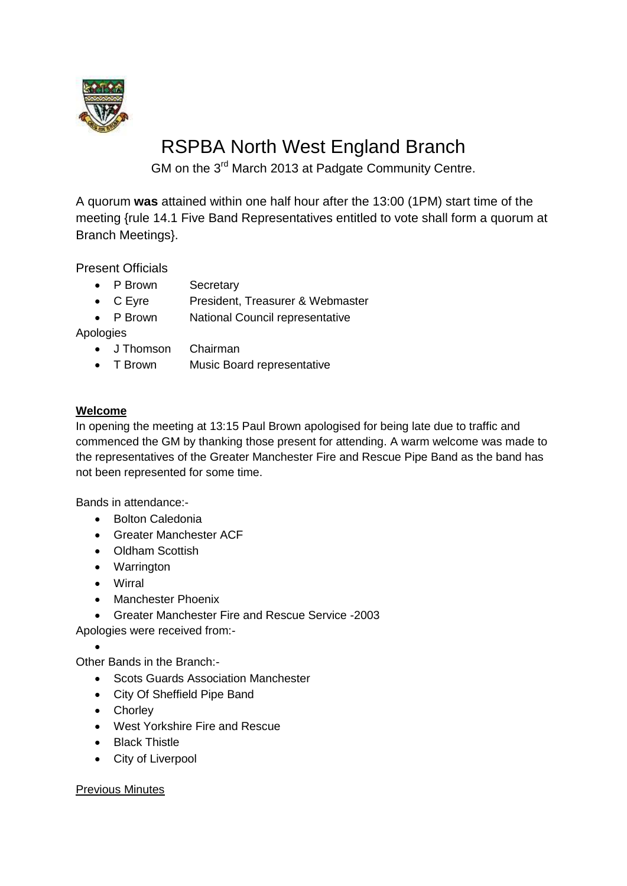

# RSPBA North West England Branch

GM on the 3<sup>rd</sup> March 2013 at Padgate Community Centre.

A quorum **was** attained within one half hour after the 13:00 (1PM) start time of the meeting {rule 14.1 Five Band Representatives entitled to vote shall form a quorum at Branch Meetings}.

Present Officials

- P Brown Secretary
- C Eyre President, Treasurer & Webmaster
- P Brown National Council representative

Apologies

- J Thomson Chairman
- T Brown Music Board representative

# **Welcome**

In opening the meeting at 13:15 Paul Brown apologised for being late due to traffic and commenced the GM by thanking those present for attending. A warm welcome was made to the representatives of the Greater Manchester Fire and Rescue Pipe Band as the band has not been represented for some time.

Bands in attendance:-

- Bolton Caledonia
- Greater Manchester ACF
- Oldham Scottish
- Warrington
- Wirral
- Manchester Phoenix
- Greater Manchester Fire and Rescue Service -2003

Apologies were received from:-

 $\bullet$ 

Other Bands in the Branch:-

- Scots Guards Association Manchester
- City Of Sheffield Pipe Band
- Chorley
- West Yorkshire Fire and Rescue
- Black Thistle
- City of Liverpool

## Previous Minutes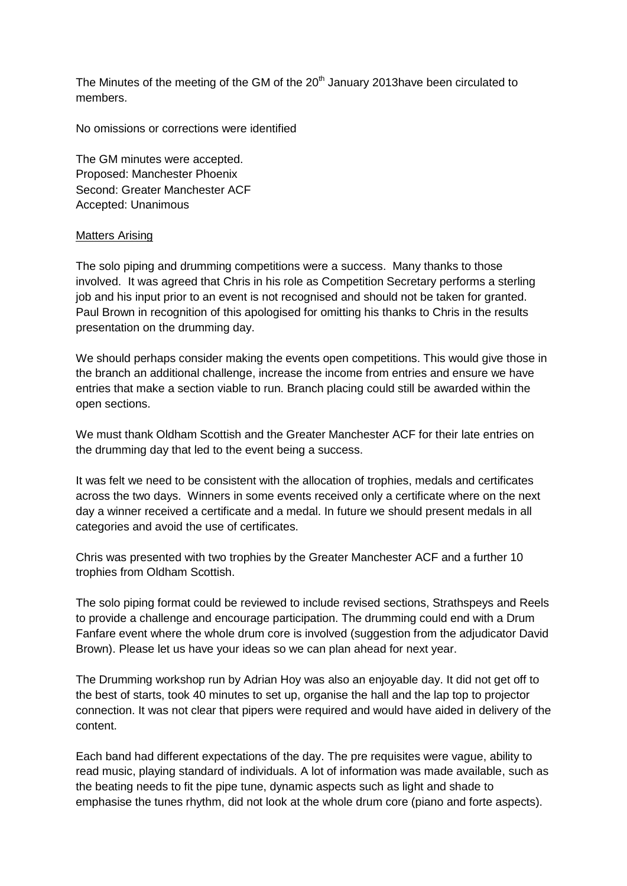The Minutes of the meeting of the GM of the 20<sup>th</sup> January 2013have been circulated to members.

No omissions or corrections were identified

The GM minutes were accepted. Proposed: Manchester Phoenix Second: Greater Manchester ACF Accepted: Unanimous

## Matters Arising

The solo piping and drumming competitions were a success. Many thanks to those involved. It was agreed that Chris in his role as Competition Secretary performs a sterling job and his input prior to an event is not recognised and should not be taken for granted. Paul Brown in recognition of this apologised for omitting his thanks to Chris in the results presentation on the drumming day.

We should perhaps consider making the events open competitions. This would give those in the branch an additional challenge, increase the income from entries and ensure we have entries that make a section viable to run. Branch placing could still be awarded within the open sections.

We must thank Oldham Scottish and the Greater Manchester ACF for their late entries on the drumming day that led to the event being a success.

It was felt we need to be consistent with the allocation of trophies, medals and certificates across the two days. Winners in some events received only a certificate where on the next day a winner received a certificate and a medal. In future we should present medals in all categories and avoid the use of certificates.

Chris was presented with two trophies by the Greater Manchester ACF and a further 10 trophies from Oldham Scottish.

The solo piping format could be reviewed to include revised sections, Strathspeys and Reels to provide a challenge and encourage participation. The drumming could end with a Drum Fanfare event where the whole drum core is involved (suggestion from the adjudicator David Brown). Please let us have your ideas so we can plan ahead for next year.

The Drumming workshop run by Adrian Hoy was also an enjoyable day. It did not get off to the best of starts, took 40 minutes to set up, organise the hall and the lap top to projector connection. It was not clear that pipers were required and would have aided in delivery of the content.

Each band had different expectations of the day. The pre requisites were vague, ability to read music, playing standard of individuals. A lot of information was made available, such as the beating needs to fit the pipe tune, dynamic aspects such as light and shade to emphasise the tunes rhythm, did not look at the whole drum core (piano and forte aspects).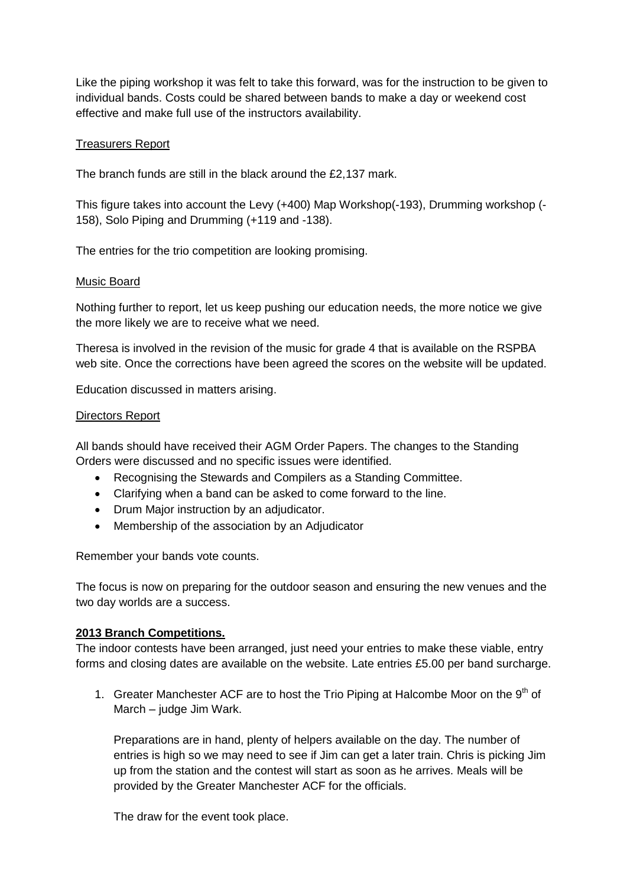Like the piping workshop it was felt to take this forward, was for the instruction to be given to individual bands. Costs could be shared between bands to make a day or weekend cost effective and make full use of the instructors availability.

## Treasurers Report

The branch funds are still in the black around the £2,137 mark.

This figure takes into account the Levy (+400) Map Workshop(-193), Drumming workshop (- 158), Solo Piping and Drumming (+119 and -138).

The entries for the trio competition are looking promising.

#### Music Board

Nothing further to report, let us keep pushing our education needs, the more notice we give the more likely we are to receive what we need.

Theresa is involved in the revision of the music for grade 4 that is available on the RSPBA web site. Once the corrections have been agreed the scores on the website will be updated.

Education discussed in matters arising.

#### Directors Report

All bands should have received their AGM Order Papers. The changes to the Standing Orders were discussed and no specific issues were identified.

- Recognising the Stewards and Compilers as a Standing Committee.
- Clarifying when a band can be asked to come forward to the line.
- Drum Major instruction by an adjudicator.
- Membership of the association by an Adjudicator

Remember your bands vote counts.

The focus is now on preparing for the outdoor season and ensuring the new venues and the two day worlds are a success.

# **2013 Branch Competitions.**

The indoor contests have been arranged, just need your entries to make these viable, entry forms and closing dates are available on the website. Late entries £5.00 per band surcharge.

1. Greater Manchester ACF are to host the Trio Piping at Halcombe Moor on the  $9<sup>th</sup>$  of March – judge Jim Wark.

Preparations are in hand, plenty of helpers available on the day. The number of entries is high so we may need to see if Jim can get a later train. Chris is picking Jim up from the station and the contest will start as soon as he arrives. Meals will be provided by the Greater Manchester ACF for the officials.

The draw for the event took place.